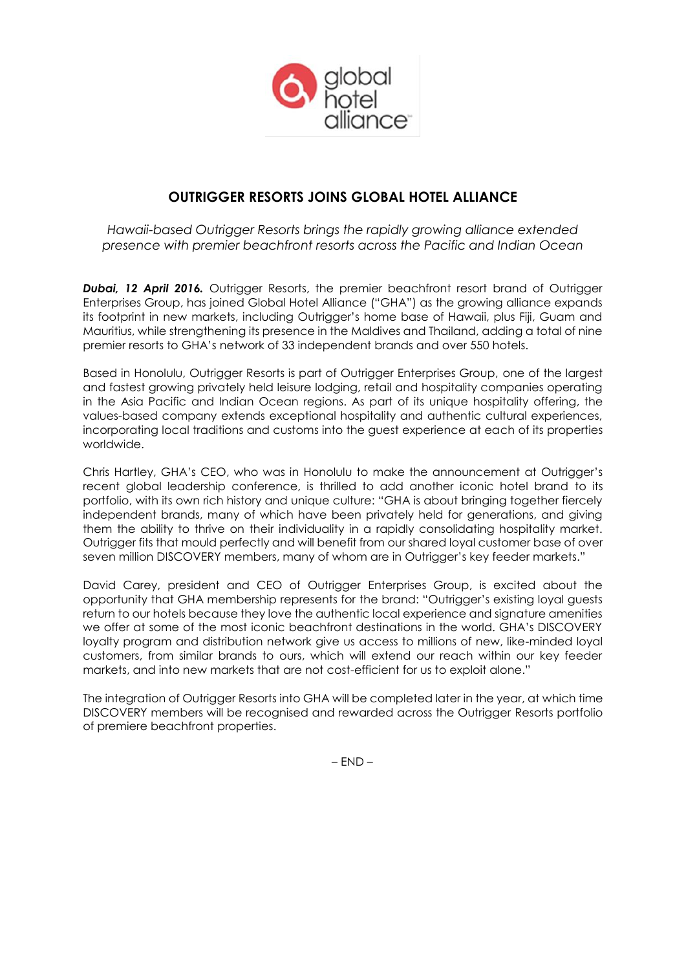

# **OUTRIGGER RESORTS JOINS GLOBAL HOTEL ALLIANCE**

*Hawaii-based Outrigger Resorts brings the rapidly growing alliance extended presence with premier beachfront resorts across the Pacific and Indian Ocean*

*Dubai, 12 April 2016.* Outrigger Resorts, the premier beachfront resort brand of Outrigger Enterprises Group, has joined Global Hotel Alliance ("GHA") as the growing alliance expands its footprint in new markets, including Outrigger's home base of Hawaii, plus Fiji, Guam and Mauritius, while strengthening its presence in the Maldives and Thailand, adding a total of nine premier resorts to GHA's network of 33 independent brands and over 550 hotels.

Based in Honolulu, Outrigger Resorts is part of Outrigger Enterprises Group, one of the largest and fastest growing privately held leisure lodging, retail and hospitality companies operating in the Asia Pacific and Indian Ocean regions. As part of its unique hospitality offering, the values-based company extends exceptional hospitality and authentic cultural experiences, incorporating local traditions and customs into the guest experience at each of its properties worldwide.

Chris Hartley, GHA's CEO, who was in Honolulu to make the announcement at Outrigger's recent global leadership conference, is thrilled to add another iconic hotel brand to its portfolio, with its own rich history and unique culture: "GHA is about bringing together fiercely independent brands, many of which have been privately held for generations, and giving them the ability to thrive on their individuality in a rapidly consolidating hospitality market. Outrigger fits that mould perfectly and will benefit from our shared loyal customer base of over seven million DISCOVERY members, many of whom are in Outrigger's key feeder markets."

David Carey, president and CEO of Outrigger Enterprises Group, is excited about the opportunity that GHA membership represents for the brand: "Outrigger's existing loyal guests return to our hotels because they love the authentic local experience and signature amenities we offer at some of the most iconic beachfront destinations in the world. GHA's DISCOVERY loyalty program and distribution network give us access to millions of new, like-minded loyal customers, from similar brands to ours, which will extend our reach within our key feeder markets, and into new markets that are not cost-efficient for us to exploit alone."

The integration of Outrigger Resorts into GHA will be completed later in the year, at which time DISCOVERY members will be recognised and rewarded across the Outrigger Resorts portfolio of premiere beachfront properties.

 $-$  END  $-$